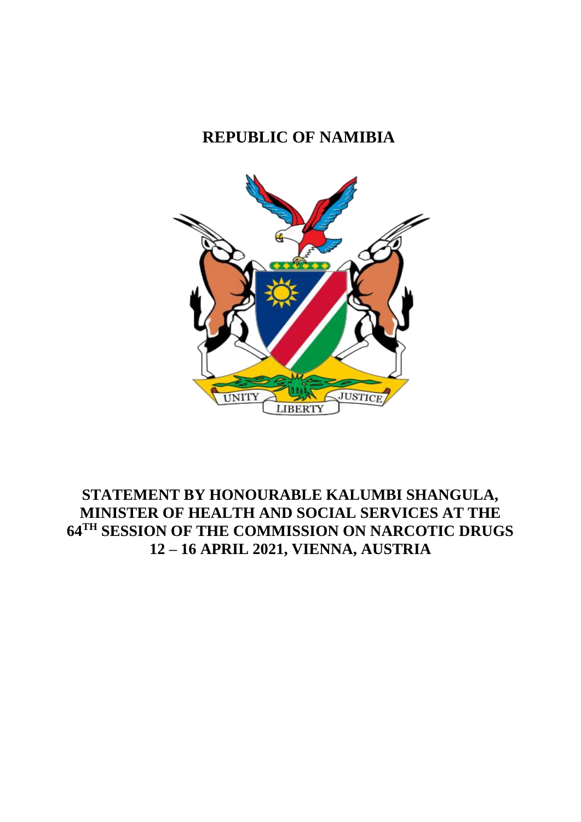# **REPUBLIC OF NAMIBIA**



## **STATEMENT BY HONOURABLE KALUMBI SHANGULA, MINISTER OF HEALTH AND SOCIAL SERVICES AT THE 64TH SESSION OF THE COMMISSION ON NARCOTIC DRUGS 12 – 16 APRIL 2021, VIENNA, AUSTRIA**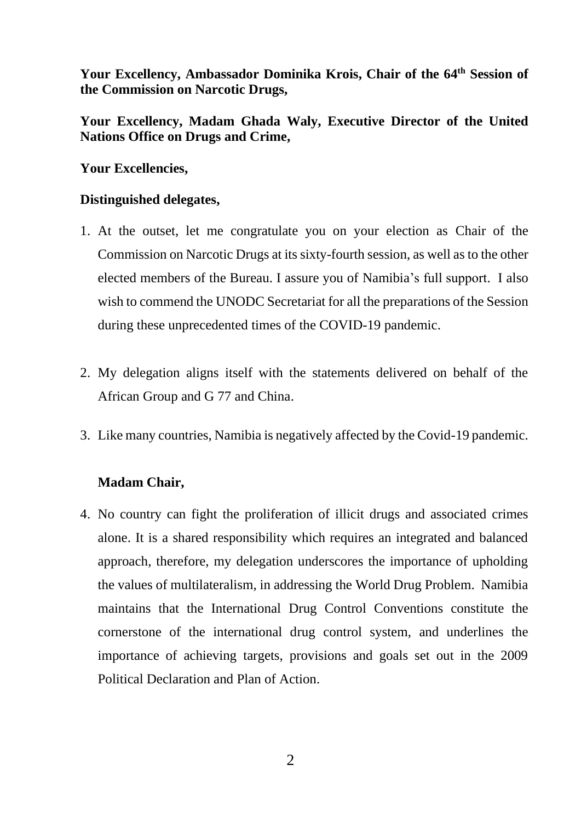Your Excellency, Ambassador Dominika Krois, Chair of the 64<sup>th</sup> Session of **the Commission on Narcotic Drugs,**

**Your Excellency, Madam Ghada Waly, Executive Director of the United Nations Office on Drugs and Crime,**

### **Your Excellencies,**

### **Distinguished delegates,**

- 1. At the outset, let me congratulate you on your election as Chair of the Commission on Narcotic Drugs at its sixty-fourth session, as well as to the other elected members of the Bureau. I assure you of Namibia's full support. I also wish to commend the UNODC Secretariat for all the preparations of the Session during these unprecedented times of the COVID-19 pandemic.
- 2. My delegation aligns itself with the statements delivered on behalf of the African Group and G 77 and China.
- 3. Like many countries, Namibia is negatively affected by the Covid-19 pandemic.

#### **Madam Chair,**

4. No country can fight the proliferation of illicit drugs and associated crimes alone. It is a shared responsibility which requires an integrated and balanced approach, therefore, my delegation underscores the importance of upholding the values of multilateralism, in addressing the World Drug Problem. Namibia maintains that the International Drug Control Conventions constitute the cornerstone of the international drug control system, and underlines the importance of achieving targets, provisions and goals set out in the 2009 Political Declaration and Plan of Action.